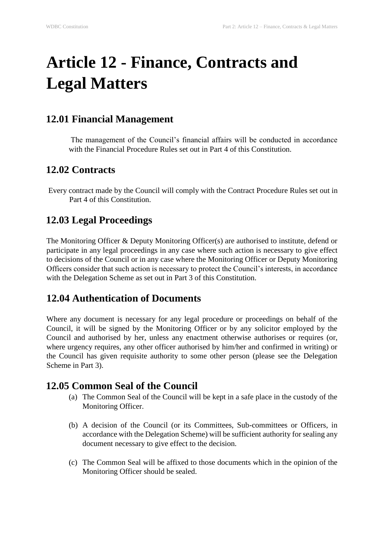# **Article 12 - Finance, Contracts and Legal Matters**

#### **12.01 Financial Management**

The management of the Council's financial affairs will be conducted in accordance with the Financial Procedure Rules set out in Part 4 of this Constitution.

## **12.02 Contracts**

Every contract made by the Council will comply with the Contract Procedure Rules set out in Part 4 of this Constitution.

## **12.03 Legal Proceedings**

The Monitoring Officer & Deputy Monitoring Officer(s) are authorised to institute, defend or participate in any legal proceedings in any case where such action is necessary to give effect to decisions of the Council or in any case where the Monitoring Officer or Deputy Monitoring Officers consider that such action is necessary to protect the Council's interests, in accordance with the Delegation Scheme as set out in Part 3 of this Constitution.

## **12.04 Authentication of Documents**

Where any document is necessary for any legal procedure or proceedings on behalf of the Council, it will be signed by the Monitoring Officer or by any solicitor employed by the Council and authorised by her, unless any enactment otherwise authorises or requires (or, where urgency requires, any other officer authorised by him/her and confirmed in writing) or the Council has given requisite authority to some other person (please see the Delegation Scheme in Part 3).

#### **12.05 Common Seal of the Council**

- (a) The Common Seal of the Council will be kept in a safe place in the custody of the Monitoring Officer.
- (b) A decision of the Council (or its Committees, Sub-committees or Officers, in accordance with the Delegation Scheme) will be sufficient authority for sealing any document necessary to give effect to the decision.
- (c) The Common Seal will be affixed to those documents which in the opinion of the Monitoring Officer should be sealed.